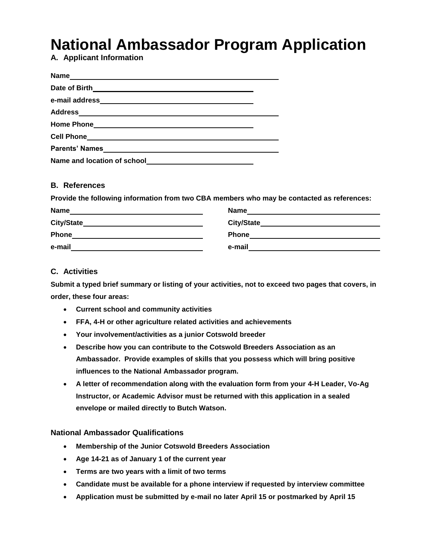# **National Ambassador Program Application**

**A. Applicant Information**

| <b>Name</b><br><u> 1980 - Jan Sterling, mars and de Brazilian (b. 1980)</u> |  |
|-----------------------------------------------------------------------------|--|
| Date of Birth                                                               |  |
|                                                                             |  |
|                                                                             |  |
|                                                                             |  |
|                                                                             |  |
| Parents' Names                                                              |  |
|                                                                             |  |

## **B. References**

**Provide the following information from two CBA members who may be contacted as references:**

| <b>Name</b>  | <b>Name</b>       |
|--------------|-------------------|
| City/State   | <b>City/State</b> |
| <b>Phone</b> | <b>Phone</b>      |
| e-mail       | e-mail            |

#### **C. Activities**

**Submit a typed brief summary or listing of your activities, not to exceed two pages that covers, in order, these four areas:**

- **Current school and community activities**
- **FFA, 4-H or other agriculture related activities and achievements**
- **Your involvement/activities as a junior Cotswold breeder**
- **Describe how you can contribute to the Cotswold Breeders Association as an Ambassador. Provide examples of skills that you possess which will bring positive influences to the National Ambassador program.**
- **A letter of recommendation along with the evaluation form from your 4-H Leader, Vo-Ag Instructor, or Academic Advisor must be returned with this application in a sealed envelope or mailed directly to Butch Watson.**

#### **National Ambassador Qualifications**

- **Membership of the Junior Cotswold Breeders Association**
- **Age 14-21 as of January 1 of the current year**
- **Terms are two years with a limit of two terms**
- **Candidate must be available for a phone interview if requested by interview committee**
- **Application must be submitted by e-mail no later April 15 or postmarked by April 15**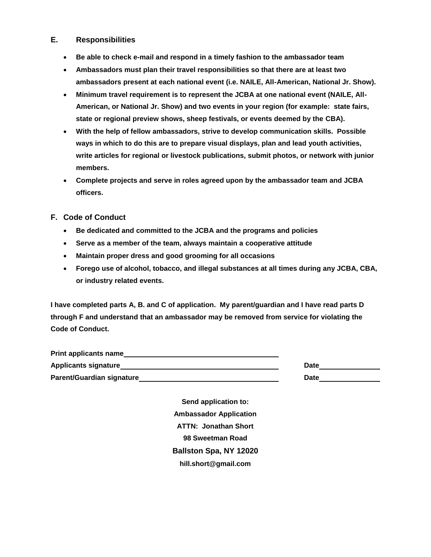#### **E. Responsibilities**

- **Be able to check e-mail and respond in a timely fashion to the ambassador team**
- **Ambassadors must plan their travel responsibilities so that there are at least two ambassadors present at each national event (i.e. NAILE, All-American, National Jr. Show).**
- **Minimum travel requirement is to represent the JCBA at one national event (NAILE, All-American, or National Jr. Show) and two events in your region (for example: state fairs, state or regional preview shows, sheep festivals, or events deemed by the CBA).**
- **With the help of fellow ambassadors, strive to develop communication skills. Possible ways in which to do this are to prepare visual displays, plan and lead youth activities, write articles for regional or livestock publications, submit photos, or network with junior members.**
- **Complete projects and serve in roles agreed upon by the ambassador team and JCBA officers.**
- **F. Code of Conduct**
	- **Be dedicated and committed to the JCBA and the programs and policies**
	- **Serve as a member of the team, always maintain a cooperative attitude**
	- **Maintain proper dress and good grooming for all occasions**
	- **Forego use of alcohol, tobacco, and illegal substances at all times during any JCBA, CBA, or industry related events.**

**I have completed parts A, B. and C of application. My parent/guardian and I have read parts D through F and understand that an ambassador may be removed from service for violating the Code of Conduct.**

| <b>Print applicants name</b>     |      |
|----------------------------------|------|
| <b>Applicants signature</b>      | Date |
| <b>Parent/Guardian signature</b> | Date |

**Send application to: Ambassador Application ATTN: Jonathan Short 98 Sweetman Road Ballston Spa, NY 12020 hill.short@gmail.com**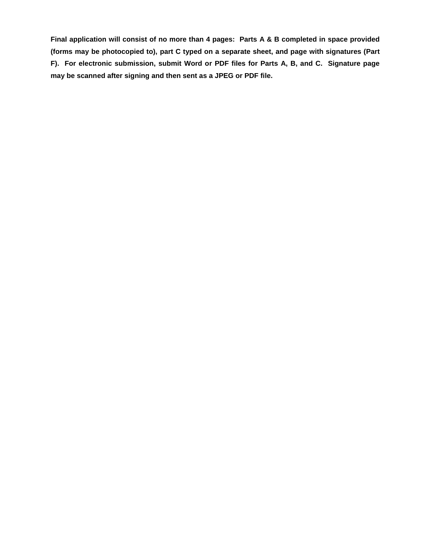**Final application will consist of no more than 4 pages: Parts A & B completed in space provided (forms may be photocopied to), part C typed on a separate sheet, and page with signatures (Part F). For electronic submission, submit Word or PDF files for Parts A, B, and C. Signature page may be scanned after signing and then sent as a JPEG or PDF file.**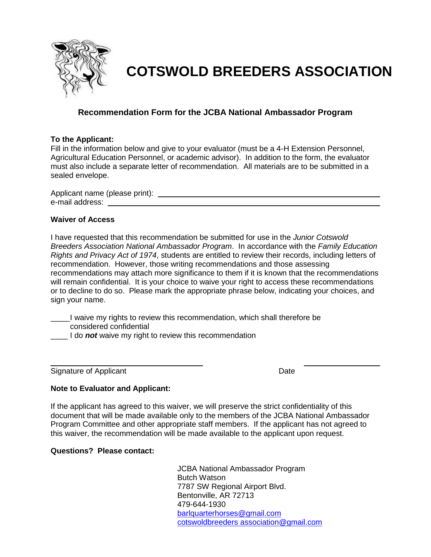

## **COTSWOLD BREEDERS ASSOCIATION**

## **Recommendation Form for the JCBA National Ambassador Program**

#### **To the Applicant:**

Fill in the information below and give to your evaluator (must be a 4-H Extension Personnel, Agricultural Education Personnel, or academic advisor). In addition to the form, the evaluator must also include a separate letter of recommendation. All materials are to be submitted in a sealed envelope.

Applicant name (please print): e-mail address:

### **Waiver of Access**

I have requested that this recommendation be submitted for use in the *Junior Cotswold Breeders Association National Ambassador Program*. In accordance with the *Family Education Rights and Privacy Act of 1974*, students are entitled to review their records, including letters of recommendation. However, those writing recommendations and those assessing recommendations may attach more significance to them if it is known that the recommendations will remain confidential. It is your choice to waive your right to access these recommendations or to decline to do so. Please mark the appropriate phrase below, indicating your choices, and sign your name.

I waive my rights to review this recommendation, which shall therefore be considered confidential

I do *not* waive my right to review this recommendation

Signature of Applicant Date

### **Note to Evaluator and Applicant:**

If the applicant has agreed to this waiver, we will preserve the strict confidentiality of this document that will be made available only to the members of the JCBA National Ambassador Program Committee and other appropriate staff members. If the applicant has not agreed to this waiver, the recommendation will be made available to the applicant upon request.

**Questions? Please contact:**

JCBA National Ambassador Program Butch Watson 7787 SW Regional Airport Blvd. Bentonville, AR 72713 479-644-1930 [barlquarterhorses@gmail.com](mailto:barlquarterhorses@gmail.com) cotswoldbreeders association@gmail.com